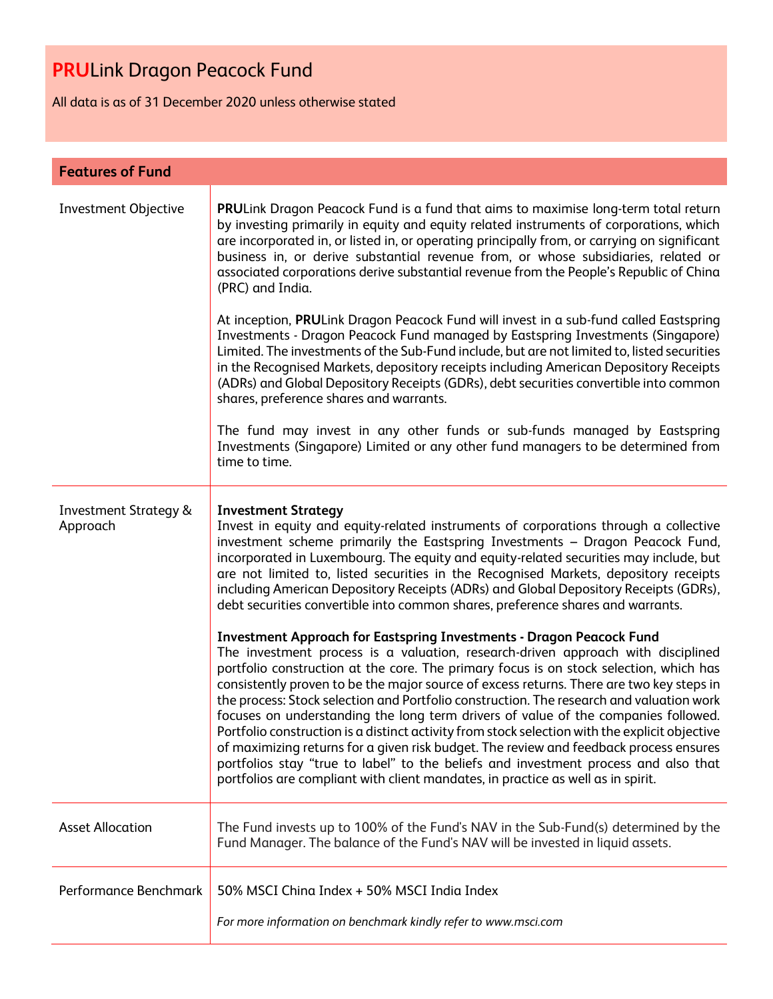All data is as of 31 December 2020 unless otherwise stated

| <b>Features of Fund</b>                      |                                                                                                                                                                                                                                                                                                                                                                                                                                                                                                                                                                                                                                                                                                                                                                                                                                                                                                                                                                                                                                                                                                                                                                                                                                                                                                                                                                                                                                                                                   |
|----------------------------------------------|-----------------------------------------------------------------------------------------------------------------------------------------------------------------------------------------------------------------------------------------------------------------------------------------------------------------------------------------------------------------------------------------------------------------------------------------------------------------------------------------------------------------------------------------------------------------------------------------------------------------------------------------------------------------------------------------------------------------------------------------------------------------------------------------------------------------------------------------------------------------------------------------------------------------------------------------------------------------------------------------------------------------------------------------------------------------------------------------------------------------------------------------------------------------------------------------------------------------------------------------------------------------------------------------------------------------------------------------------------------------------------------------------------------------------------------------------------------------------------------|
| Investment Objective                         | PRULink Dragon Peacock Fund is a fund that aims to maximise long-term total return<br>by investing primarily in equity and equity related instruments of corporations, which<br>are incorporated in, or listed in, or operating principally from, or carrying on significant<br>business in, or derive substantial revenue from, or whose subsidiaries, related or<br>associated corporations derive substantial revenue from the People's Republic of China<br>(PRC) and India.<br>At inception, PRULink Dragon Peacock Fund will invest in a sub-fund called Eastspring<br>Investments - Dragon Peacock Fund managed by Eastspring Investments (Singapore)<br>Limited. The investments of the Sub-Fund include, but are not limited to, listed securities<br>in the Recognised Markets, depository receipts including American Depository Receipts<br>(ADRs) and Global Depository Receipts (GDRs), debt securities convertible into common<br>shares, preference shares and warrants.<br>The fund may invest in any other funds or sub-funds managed by Eastspring<br>Investments (Singapore) Limited or any other fund managers to be determined from<br>time to time.                                                                                                                                                                                                                                                                                                        |
| <b>Investment Strategy &amp;</b><br>Approach | <b>Investment Strategy</b><br>Invest in equity and equity-related instruments of corporations through a collective<br>investment scheme primarily the Eastspring Investments - Dragon Peacock Fund,<br>incorporated in Luxembourg. The equity and equity-related securities may include, but<br>are not limited to, listed securities in the Recognised Markets, depository receipts<br>including American Depository Receipts (ADRs) and Global Depository Receipts (GDRs),<br>debt securities convertible into common shares, preference shares and warrants.<br><b>Investment Approach for Eastspring Investments - Dragon Peacock Fund</b><br>The investment process is a valuation, research-driven approach with disciplined<br>portfolio construction at the core. The primary focus is on stock selection, which has<br>consistently proven to be the major source of excess returns. There are two key steps in<br>the process: Stock selection and Portfolio construction. The research and valuation work<br>focuses on understanding the long term drivers of value of the companies followed.<br>Portfolio construction is a distinct activity from stock selection with the explicit objective<br>of maximizing returns for a given risk budget. The review and feedback process ensures<br>portfolios stay "true to label" to the beliefs and investment process and also that<br>portfolios are compliant with client mandates, in practice as well as in spirit. |
| <b>Asset Allocation</b>                      | The Fund invests up to 100% of the Fund's NAV in the Sub-Fund(s) determined by the<br>Fund Manager. The balance of the Fund's NAV will be invested in liquid assets.                                                                                                                                                                                                                                                                                                                                                                                                                                                                                                                                                                                                                                                                                                                                                                                                                                                                                                                                                                                                                                                                                                                                                                                                                                                                                                              |
| Performance Benchmark                        | 50% MSCI China Index + 50% MSCI India Index<br>For more information on benchmark kindly refer to www.msci.com                                                                                                                                                                                                                                                                                                                                                                                                                                                                                                                                                                                                                                                                                                                                                                                                                                                                                                                                                                                                                                                                                                                                                                                                                                                                                                                                                                     |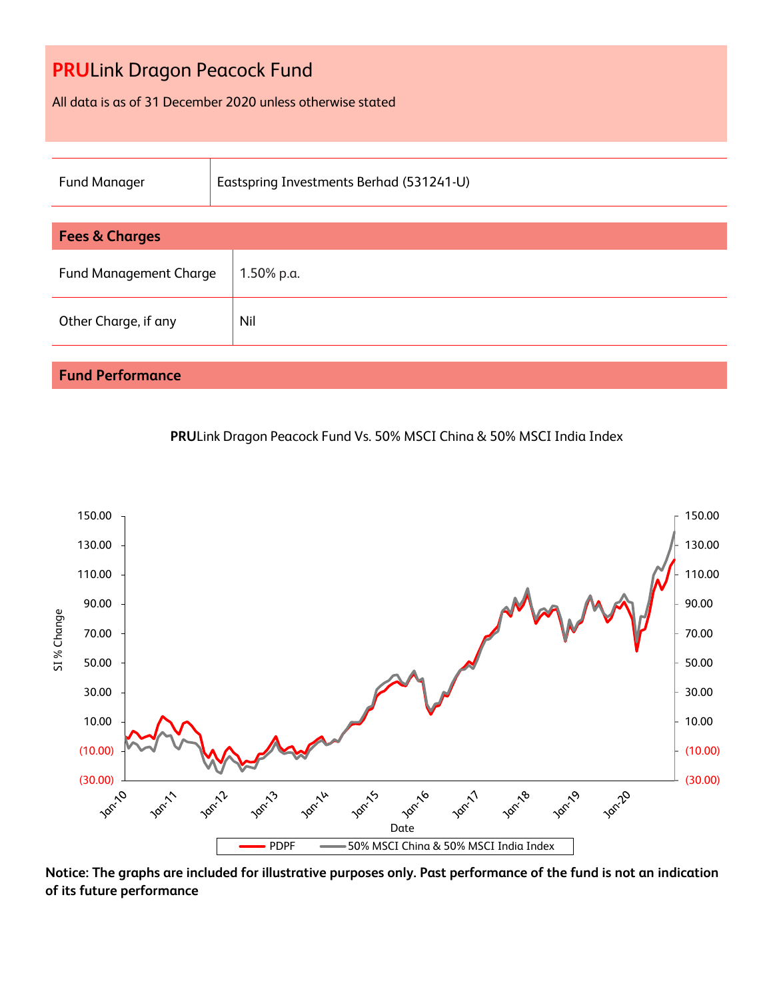All data is as of 31 December 2020 unless otherwise stated

| <b>Fund Manager</b>           | Eastspring Investments Berhad (531241-U) |  |  |
|-------------------------------|------------------------------------------|--|--|
|                               |                                          |  |  |
| <b>Fees &amp; Charges</b>     |                                          |  |  |
| <b>Fund Management Charge</b> | 1.50% p.a.                               |  |  |
| Other Charge, if any          | Nil                                      |  |  |
|                               |                                          |  |  |
| <b>Fund Performance</b>       |                                          |  |  |





**Notice: The graphs are included for illustrative purposes only. Past performance of the fund is not an indication of its future performance**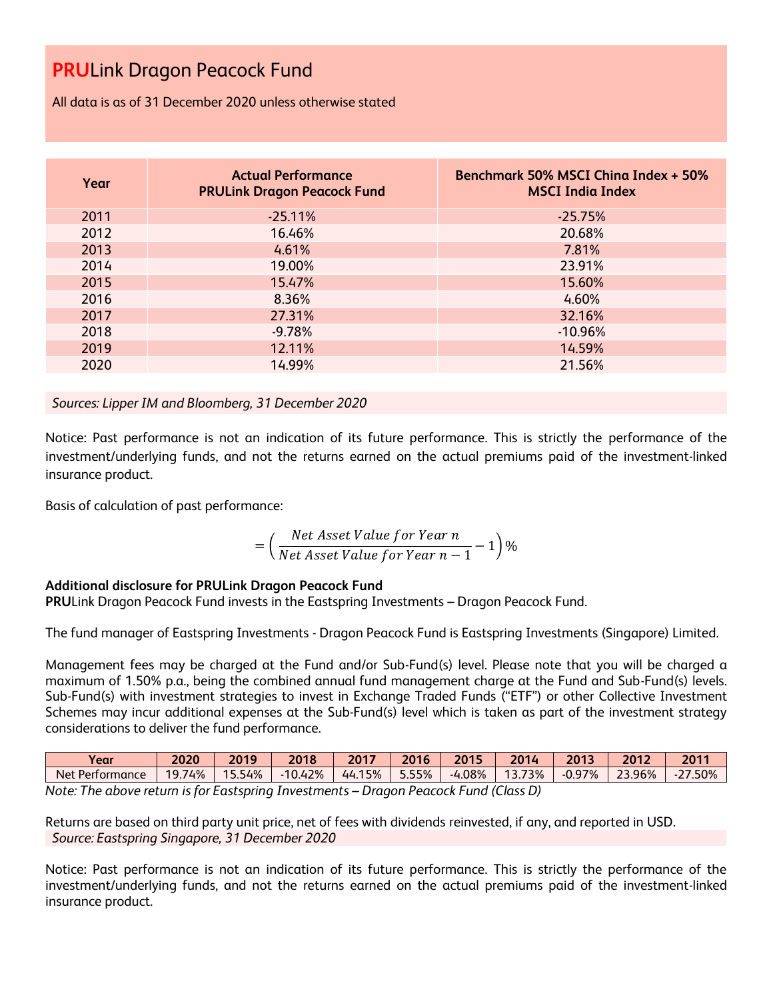All data is as of 31 December 2020 unless otherwise stated

| Year | <b>Actual Performance</b><br><b>PRULink Dragon Peacock Fund</b> | <b>Benchmark 50% MSCI China Index + 50%</b><br><b>MSCI India Index</b> |
|------|-----------------------------------------------------------------|------------------------------------------------------------------------|
| 2011 | $-25.11%$                                                       | $-25.75%$                                                              |
| 2012 | 16.46%                                                          | 20.68%                                                                 |
| 2013 | 4.61%                                                           | 7.81%                                                                  |
| 2014 | 19.00%                                                          | 23.91%                                                                 |
| 2015 | 15.47%                                                          | 15.60%                                                                 |
| 2016 | 8.36%                                                           | 4.60%                                                                  |
| 2017 | 27.31%                                                          | 32.16%                                                                 |
| 2018 | $-9.78%$                                                        | $-10.96%$                                                              |
| 2019 | 12.11%                                                          | 14.59%                                                                 |
| 2020 | 14.99%                                                          | 21.56%                                                                 |

*Sources: Lipper IM and Bloomberg, 31 December 2020*

Notice: Past performance is not an indication of its future performance. This is strictly the performance of the investment/underlying funds, and not the returns earned on the actual premiums paid of the investment-linked insurance product.

Basis of calculation of past performance:

$$
= \left(\frac{Net\text{ Asset Value for Year }n}{Net\text{ Asset Value for Year }n-1}-1\right)\%
$$

#### **Additional disclosure for PRULink Dragon Peacock Fund**

**PRU**Link Dragon Peacock Fund invests in the Eastspring Investments – Dragon Peacock Fund.

The fund manager of Eastspring Investments - Dragon Peacock Fund is Eastspring Investments (Singapore) Limited.

Management fees may be charged at the Fund and/or Sub-Fund(s) level. Please note that you will be charged a maximum of 1.50% p.a., being the combined annual fund management charge at the Fund and Sub-Fund(s) levels. Sub-Fund(s) with investment strategies to invest in Exchange Traded Funds ("ETF") or other Collective Investment Schemes may incur additional expenses at the Sub-Fund(s) level which is taken as part of the investment strategy considerations to deliver the fund performance.

| Vear                                                                                       | 2020   | 2019   | 2018      | 2017   | 2016  | 2015  | 2014             | 2013     | 2012   | 2011      |
|--------------------------------------------------------------------------------------------|--------|--------|-----------|--------|-------|-------|------------------|----------|--------|-----------|
| Net Performance                                                                            | 19.74% | 15.54% | $-10.42%$ | 44.15% | 5.55% | 1.08% | 12<br>73%<br>J.J | $-0.97%$ | 23.96% | $-27.50%$ |
| ÷<br>Drogan Descark Eund (Closs D)<br>Nota: The above return is for Eastenring Investments |        |        |           |        |       |       |                  |          |        |           |

*Note: The above return is for Eastspring Investments – Dragon Peacock Fund (Class D)*

Returns are based on third party unit price, net of fees with dividends reinvested, if any, and reported in USD. *Source: Eastspring Singapore, 31 December 2020*

Notice: Past performance is not an indication of its future performance. This is strictly the performance of the investment/underlying funds, and not the returns earned on the actual premiums paid of the investment-linked insurance product.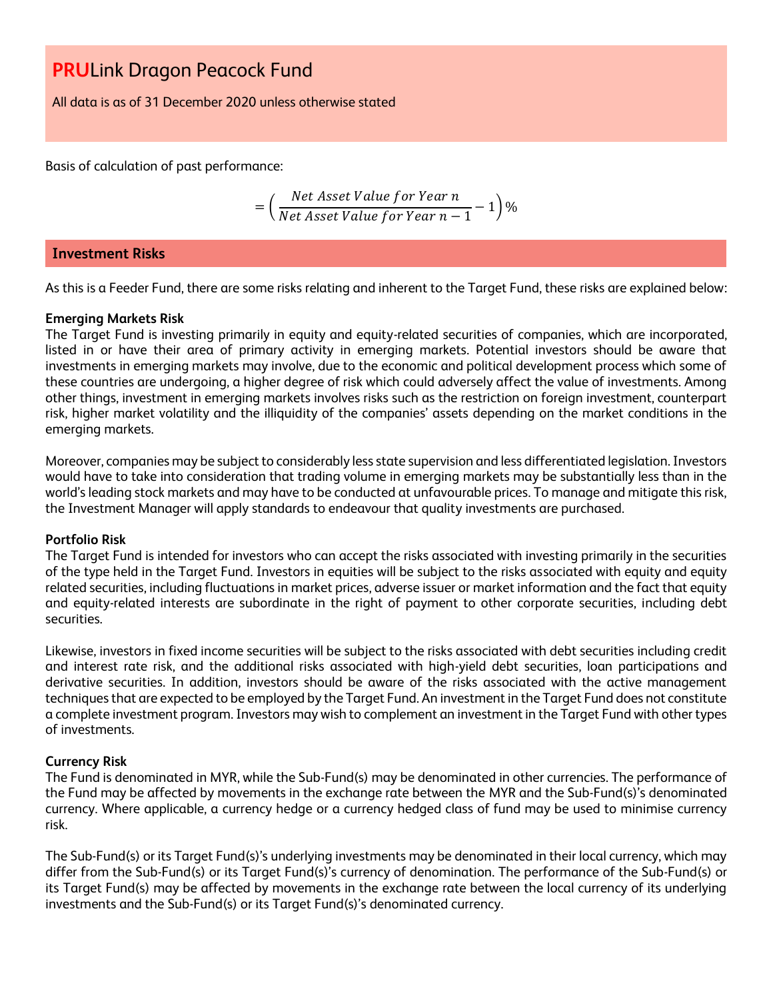All data is as of 31 December 2020 unless otherwise stated

Basis of calculation of past performance:

$$
= \left(\frac{Net\ Asset\ Value\ for\ Year\ n}{Net\ Asset\ Value\ for\ Year\ n-1} - 1\right)\%
$$

#### **Investment Risks**

As this is a Feeder Fund, there are some risks relating and inherent to the Target Fund, these risks are explained below:

#### **Emerging Markets Risk**

The Target Fund is investing primarily in equity and equity-related securities of companies, which are incorporated, listed in or have their area of primary activity in emerging markets. Potential investors should be aware that investments in emerging markets may involve, due to the economic and political development process which some of these countries are undergoing, a higher degree of risk which could adversely affect the value of investments. Among other things, investment in emerging markets involves risks such as the restriction on foreign investment, counterpart risk, higher market volatility and the illiquidity of the companies' assets depending on the market conditions in the emerging markets.

Moreover, companies may be subject to considerably less state supervision and less differentiated legislation. Investors would have to take into consideration that trading volume in emerging markets may be substantially less than in the world's leading stock markets and may have to be conducted at unfavourable prices. To manage and mitigate this risk, the Investment Manager will apply standards to endeavour that quality investments are purchased.

#### **Portfolio Risk**

The Target Fund is intended for investors who can accept the risks associated with investing primarily in the securities of the type held in the Target Fund. Investors in equities will be subject to the risks associated with equity and equity related securities, including fluctuations in market prices, adverse issuer or market information and the fact that equity and equity-related interests are subordinate in the right of payment to other corporate securities, including debt securities.

Likewise, investors in fixed income securities will be subject to the risks associated with debt securities including credit and interest rate risk, and the additional risks associated with high-yield debt securities, loan participations and derivative securities. In addition, investors should be aware of the risks associated with the active management techniques that are expected to be employed by the Target Fund. An investment in the Target Fund does not constitute a complete investment program. Investors may wish to complement an investment in the Target Fund with other types of investments.

#### **Currency Risk**

The Fund is denominated in MYR, while the Sub-Fund(s) may be denominated in other currencies. The performance of the Fund may be affected by movements in the exchange rate between the MYR and the Sub-Fund(s)'s denominated currency. Where applicable, a currency hedge or a currency hedged class of fund may be used to minimise currency risk.

The Sub-Fund(s) or its Target Fund(s)'s underlying investments may be denominated in their local currency, which may differ from the Sub-Fund(s) or its Target Fund(s)'s currency of denomination. The performance of the Sub-Fund(s) or its Target Fund(s) may be affected by movements in the exchange rate between the local currency of its underlying investments and the Sub-Fund(s) or its Target Fund(s)'s denominated currency.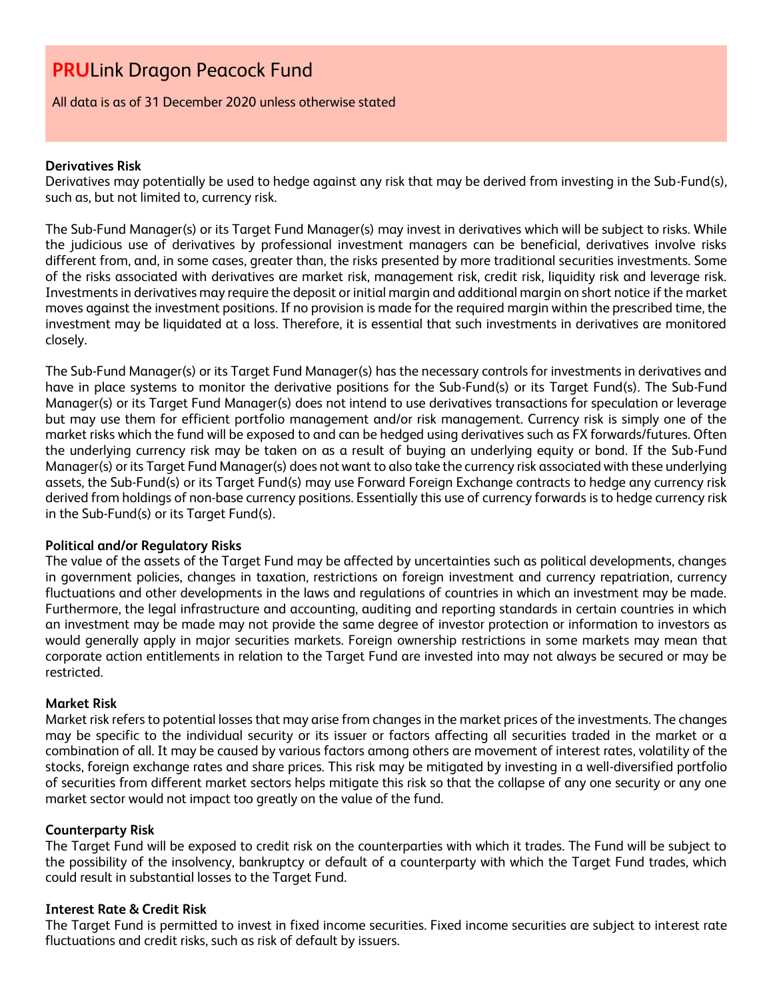All data is as of 31 December 2020 unless otherwise stated

#### **Derivatives Risk**

Derivatives may potentially be used to hedge against any risk that may be derived from investing in the Sub-Fund(s), such as, but not limited to, currency risk.

The Sub-Fund Manager(s) or its Target Fund Manager(s) may invest in derivatives which will be subject to risks. While the judicious use of derivatives by professional investment managers can be beneficial, derivatives involve risks different from, and, in some cases, greater than, the risks presented by more traditional securities investments. Some of the risks associated with derivatives are market risk, management risk, credit risk, liquidity risk and leverage risk. Investments in derivatives may require the deposit or initial margin and additional margin on short notice if the market moves against the investment positions. If no provision is made for the required margin within the prescribed time, the investment may be liquidated at a loss. Therefore, it is essential that such investments in derivatives are monitored closely.

The Sub-Fund Manager(s) or its Target Fund Manager(s) has the necessary controls for investments in derivatives and have in place systems to monitor the derivative positions for the Sub-Fund(s) or its Target Fund(s). The Sub-Fund Manager(s) or its Target Fund Manager(s) does not intend to use derivatives transactions for speculation or leverage but may use them for efficient portfolio management and/or risk management. Currency risk is simply one of the market risks which the fund will be exposed to and can be hedged using derivatives such as FX forwards/futures. Often the underlying currency risk may be taken on as a result of buying an underlying equity or bond. If the Sub-Fund Manager(s) or its Target Fund Manager(s) does not want to also take the currency risk associated with these underlying assets, the Sub-Fund(s) or its Target Fund(s) may use Forward Foreign Exchange contracts to hedge any currency risk derived from holdings of non-base currency positions. Essentially this use of currency forwards is to hedge currency risk in the Sub-Fund(s) or its Target Fund(s).

#### **Political and/or Regulatory Risks**

The value of the assets of the Target Fund may be affected by uncertainties such as political developments, changes in government policies, changes in taxation, restrictions on foreign investment and currency repatriation, currency fluctuations and other developments in the laws and regulations of countries in which an investment may be made. Furthermore, the legal infrastructure and accounting, auditing and reporting standards in certain countries in which an investment may be made may not provide the same degree of investor protection or information to investors as would generally apply in major securities markets. Foreign ownership restrictions in some markets may mean that corporate action entitlements in relation to the Target Fund are invested into may not always be secured or may be restricted.

#### **Market Risk**

Market risk refers to potential losses that may arise from changes in the market prices of the investments. The changes may be specific to the individual security or its issuer or factors affecting all securities traded in the market or a combination of all. It may be caused by various factors among others are movement of interest rates, volatility of the stocks, foreign exchange rates and share prices. This risk may be mitigated by investing in a well-diversified portfolio of securities from different market sectors helps mitigate this risk so that the collapse of any one security or any one market sector would not impact too greatly on the value of the fund.

#### **Counterparty Risk**

The Target Fund will be exposed to credit risk on the counterparties with which it trades. The Fund will be subject to the possibility of the insolvency, bankruptcy or default of a counterparty with which the Target Fund trades, which could result in substantial losses to the Target Fund.

#### **Interest Rate & Credit Risk**

The Target Fund is permitted to invest in fixed income securities. Fixed income securities are subject to interest rate fluctuations and credit risks, such as risk of default by issuers.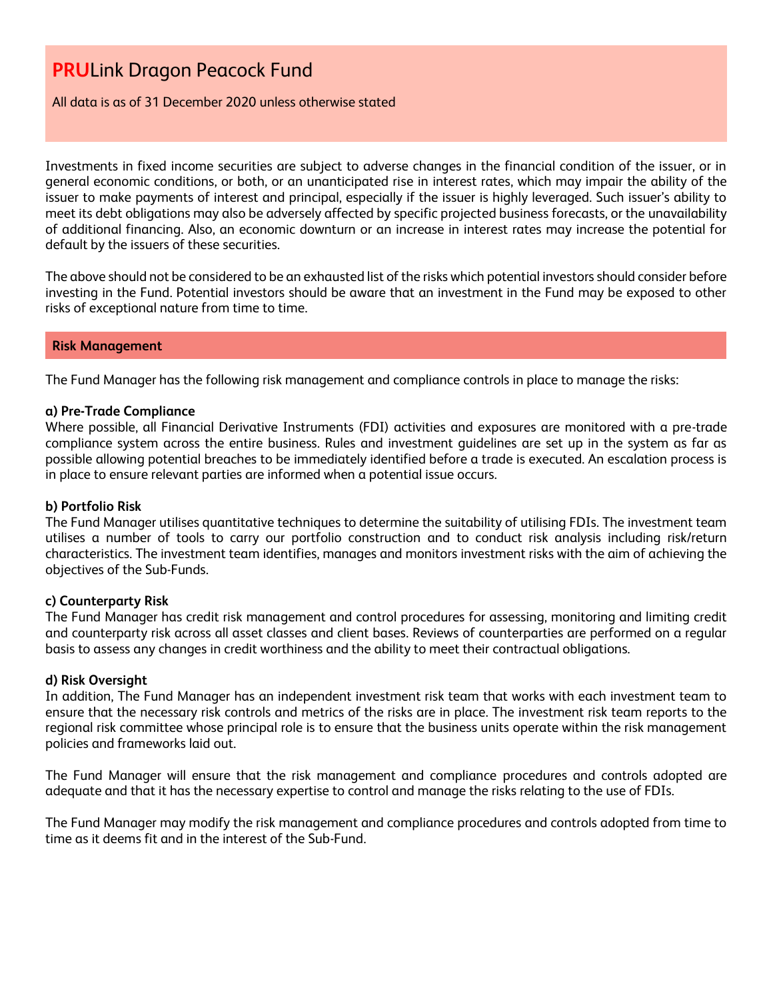All data is as of 31 December 2020 unless otherwise stated

Investments in fixed income securities are subject to adverse changes in the financial condition of the issuer, or in general economic conditions, or both, or an unanticipated rise in interest rates, which may impair the ability of the issuer to make payments of interest and principal, especially if the issuer is highly leveraged. Such issuer's ability to meet its debt obligations may also be adversely affected by specific projected business forecasts, or the unavailability of additional financing. Also, an economic downturn or an increase in interest rates may increase the potential for default by the issuers of these securities.

The above should not be considered to be an exhausted list of the risks which potential investors should consider before investing in the Fund. Potential investors should be aware that an investment in the Fund may be exposed to other risks of exceptional nature from time to time.

#### **Risk Management**

The Fund Manager has the following risk management and compliance controls in place to manage the risks:

#### **a) Pre-Trade Compliance**

Where possible, all Financial Derivative Instruments (FDI) activities and exposures are monitored with a pre-trade compliance system across the entire business. Rules and investment guidelines are set up in the system as far as possible allowing potential breaches to be immediately identified before a trade is executed. An escalation process is in place to ensure relevant parties are informed when a potential issue occurs.

#### **b) Portfolio Risk**

The Fund Manager utilises quantitative techniques to determine the suitability of utilising FDIs. The investment team utilises a number of tools to carry our portfolio construction and to conduct risk analysis including risk/return characteristics. The investment team identifies, manages and monitors investment risks with the aim of achieving the objectives of the Sub-Funds.

#### **c) Counterparty Risk**

The Fund Manager has credit risk management and control procedures for assessing, monitoring and limiting credit and counterparty risk across all asset classes and client bases. Reviews of counterparties are performed on a regular basis to assess any changes in credit worthiness and the ability to meet their contractual obligations.

#### **d) Risk Oversight**

In addition, The Fund Manager has an independent investment risk team that works with each investment team to ensure that the necessary risk controls and metrics of the risks are in place. The investment risk team reports to the regional risk committee whose principal role is to ensure that the business units operate within the risk management policies and frameworks laid out.

The Fund Manager will ensure that the risk management and compliance procedures and controls adopted are adequate and that it has the necessary expertise to control and manage the risks relating to the use of FDIs.

The Fund Manager may modify the risk management and compliance procedures and controls adopted from time to time as it deems fit and in the interest of the Sub-Fund.